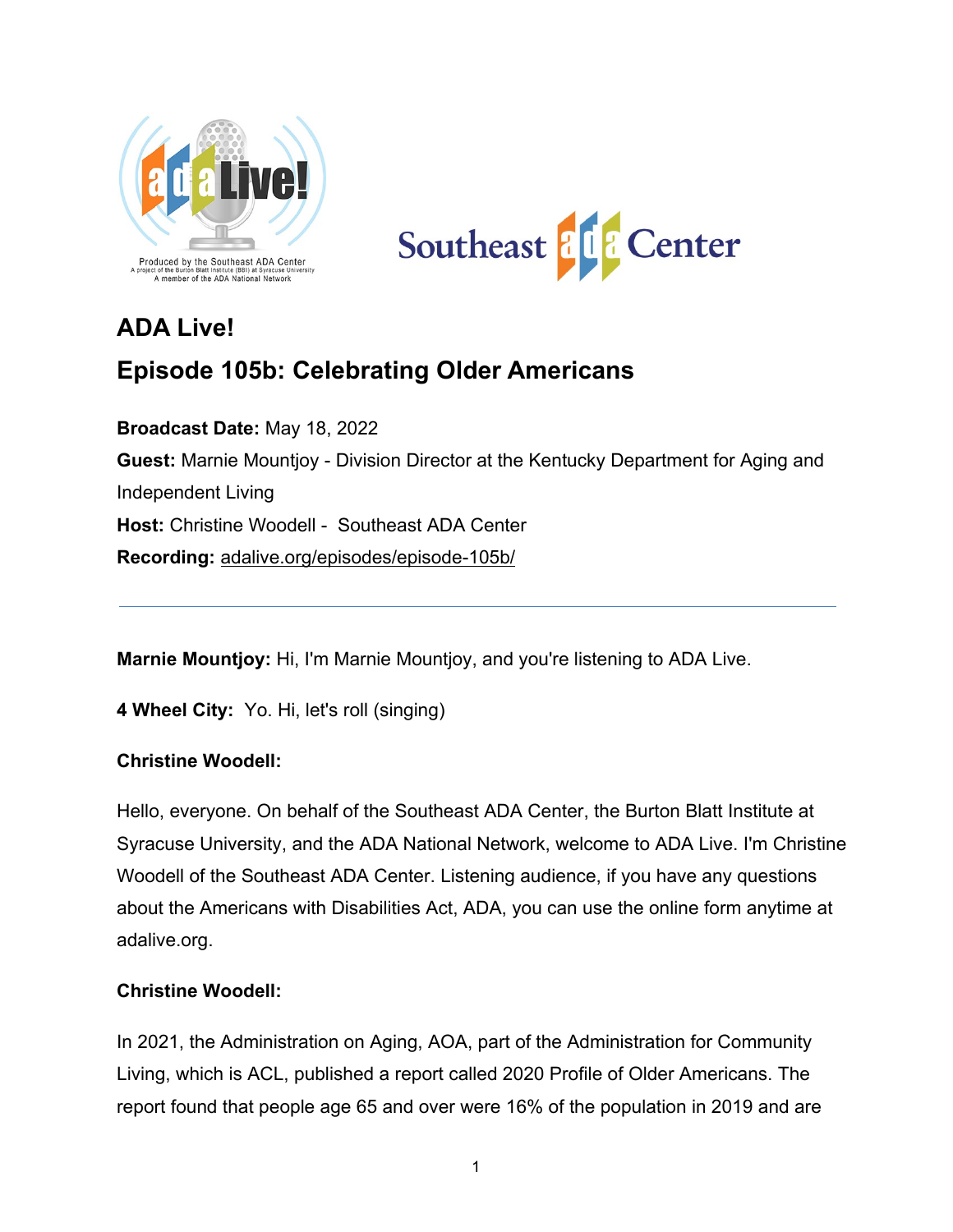



# **ADA Live!**

# **Episode 105b: Celebrating Older Americans**

**Broadcast Date:** May 18, 2022 **Guest:** Marnie Mountjoy - Division Director at the Kentucky Department for Aging and Independent Living **Host:** Christine Woodell - Southeast ADA Center **Recording:** [adalive.org/episodes/episode-105b/](https://adalive.org/episodes/episode-105b/)

**Marnie Mountjoy:** Hi, I'm Marnie Mountjoy, and you're listening to ADA Live.

**4 Wheel City:** Yo. Hi, let's roll (singing)

#### **Christine Woodell:**

Hello, everyone. On behalf of the Southeast ADA Center, the Burton Blatt Institute at Syracuse University, and the ADA National Network, welcome to ADA Live. I'm Christine Woodell of the Southeast ADA Center. Listening audience, if you have any questions about the Americans with Disabilities Act, ADA, you can use the online form anytime at adalive.org.

#### **Christine Woodell:**

In 2021, the Administration on Aging, AOA, part of the Administration for Community Living, which is ACL, published a report called 2020 Profile of Older Americans. The report found that people age 65 and over were 16% of the population in 2019 and are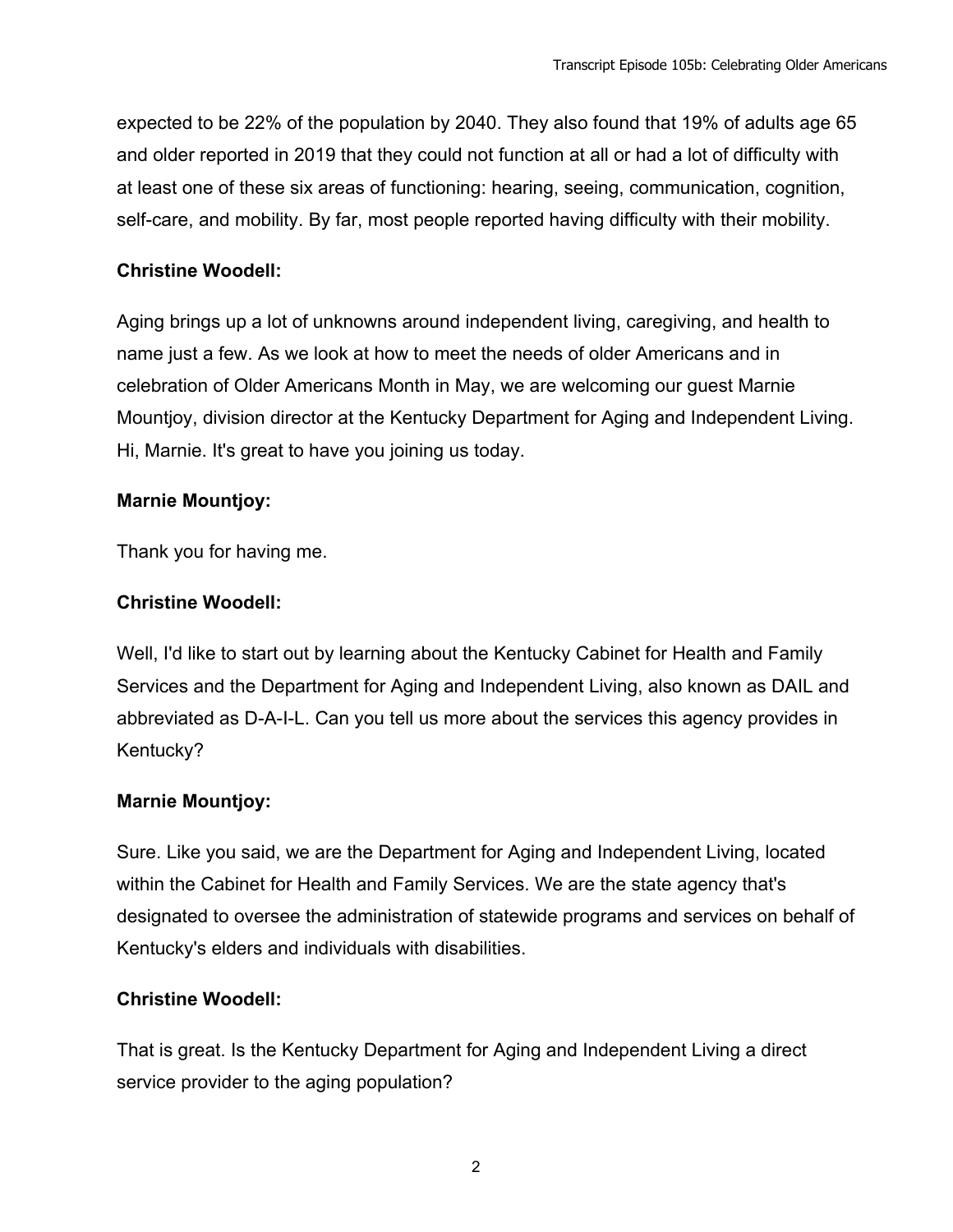expected to be 22% of the population by 2040. They also found that 19% of adults age 65 and older reported in 2019 that they could not function at all or had a lot of difficulty with at least one of these six areas of functioning: hearing, seeing, communication, cognition, self-care, and mobility. By far, most people reported having difficulty with their mobility.

## **Christine Woodell:**

Aging brings up a lot of unknowns around independent living, caregiving, and health to name just a few. As we look at how to meet the needs of older Americans and in celebration of Older Americans Month in May, we are welcoming our guest Marnie Mountjoy, division director at the Kentucky Department for Aging and Independent Living. Hi, Marnie. It's great to have you joining us today.

# **Marnie Mountjoy:**

Thank you for having me.

## **Christine Woodell:**

Well, I'd like to start out by learning about the Kentucky Cabinet for Health and Family Services and the Department for Aging and Independent Living, also known as DAIL and abbreviated as D-A-I-L. Can you tell us more about the services this agency provides in Kentucky?

# **Marnie Mountjoy:**

Sure. Like you said, we are the Department for Aging and Independent Living, located within the Cabinet for Health and Family Services. We are the state agency that's designated to oversee the administration of statewide programs and services on behalf of Kentucky's elders and individuals with disabilities.

# **Christine Woodell:**

That is great. Is the Kentucky Department for Aging and Independent Living a direct service provider to the aging population?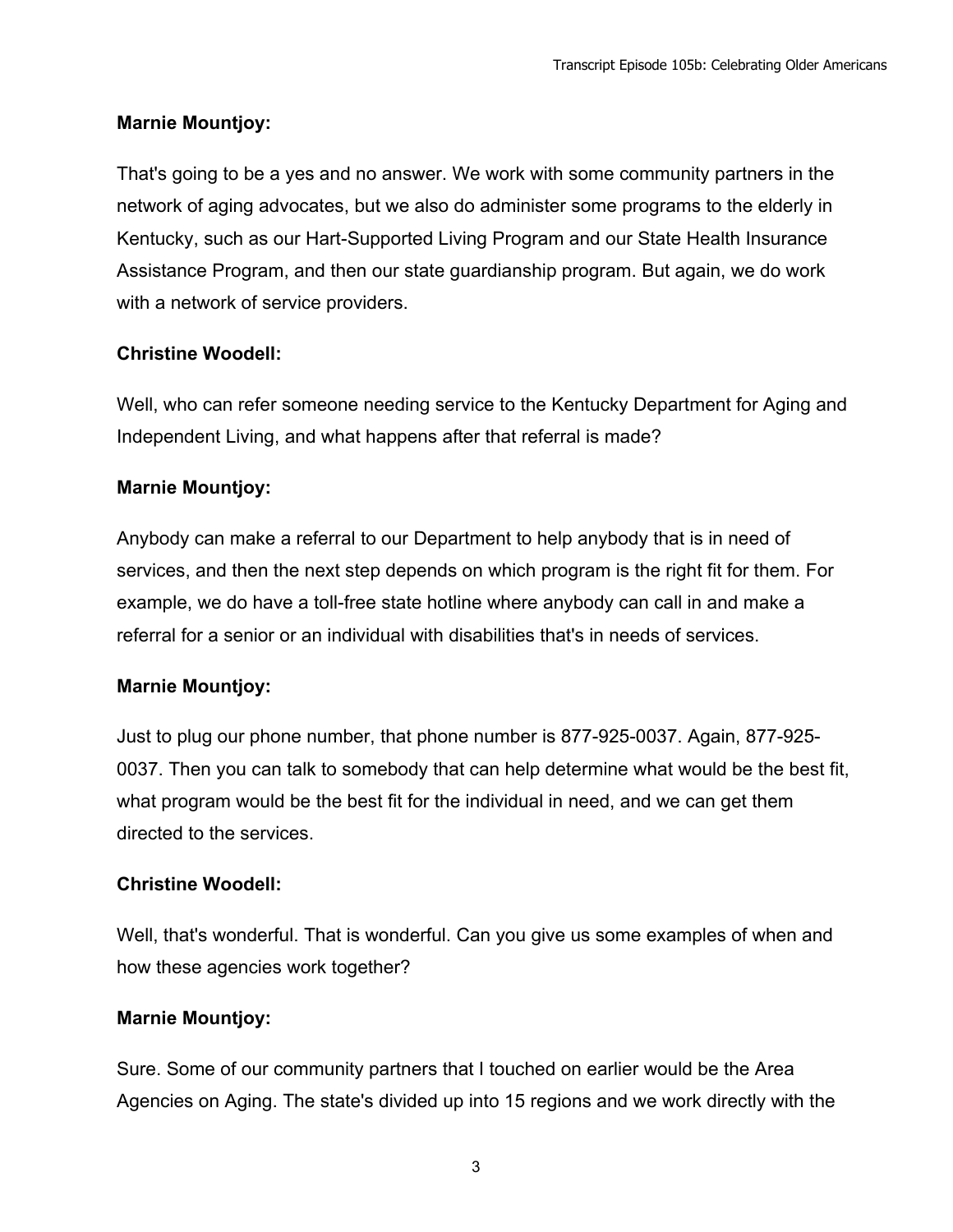### **Marnie Mountjoy:**

That's going to be a yes and no answer. We work with some community partners in the network of aging advocates, but we also do administer some programs to the elderly in Kentucky, such as our Hart-Supported Living Program and our State Health Insurance Assistance Program, and then our state guardianship program. But again, we do work with a network of service providers.

## **Christine Woodell:**

Well, who can refer someone needing service to the Kentucky Department for Aging and Independent Living, and what happens after that referral is made?

## **Marnie Mountjoy:**

Anybody can make a referral to our Department to help anybody that is in need of services, and then the next step depends on which program is the right fit for them. For example, we do have a toll-free state hotline where anybody can call in and make a referral for a senior or an individual with disabilities that's in needs of services.

#### **Marnie Mountjoy:**

Just to plug our phone number, that phone number is 877-925-0037. Again, 877-925- 0037. Then you can talk to somebody that can help determine what would be the best fit, what program would be the best fit for the individual in need, and we can get them directed to the services.

#### **Christine Woodell:**

Well, that's wonderful. That is wonderful. Can you give us some examples of when and how these agencies work together?

#### **Marnie Mountjoy:**

Sure. Some of our community partners that I touched on earlier would be the Area Agencies on Aging. The state's divided up into 15 regions and we work directly with the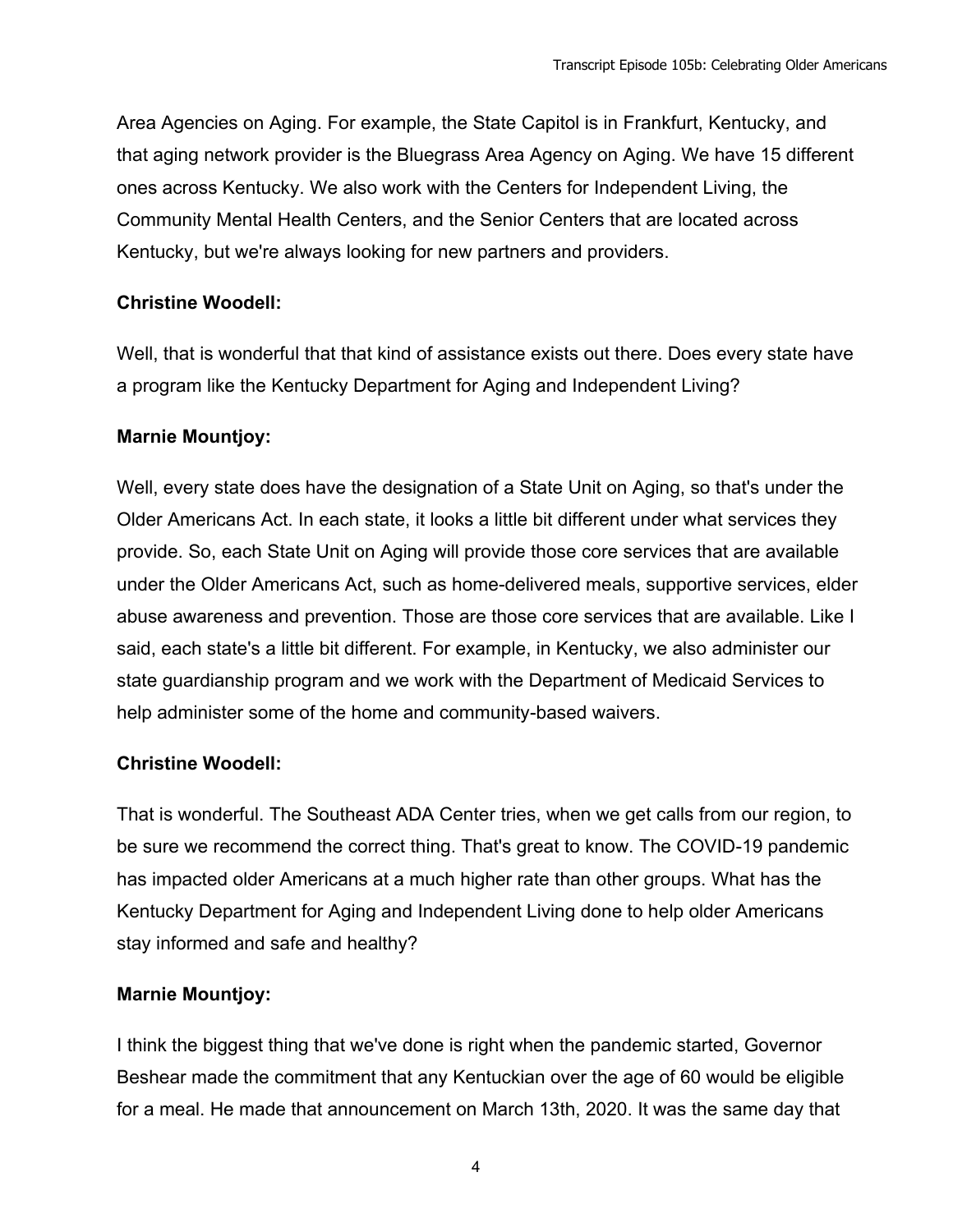Area Agencies on Aging. For example, the State Capitol is in Frankfurt, Kentucky, and that aging network provider is the Bluegrass Area Agency on Aging. We have 15 different ones across Kentucky. We also work with the Centers for Independent Living, the Community Mental Health Centers, and the Senior Centers that are located across Kentucky, but we're always looking for new partners and providers.

## **Christine Woodell:**

Well, that is wonderful that that kind of assistance exists out there. Does every state have a program like the Kentucky Department for Aging and Independent Living?

## **Marnie Mountjoy:**

Well, every state does have the designation of a State Unit on Aging, so that's under the Older Americans Act. In each state, it looks a little bit different under what services they provide. So, each State Unit on Aging will provide those core services that are available under the Older Americans Act, such as home-delivered meals, supportive services, elder abuse awareness and prevention. Those are those core services that are available. Like I said, each state's a little bit different. For example, in Kentucky, we also administer our state guardianship program and we work with the Department of Medicaid Services to help administer some of the home and community-based waivers.

# **Christine Woodell:**

That is wonderful. The Southeast ADA Center tries, when we get calls from our region, to be sure we recommend the correct thing. That's great to know. The COVID-19 pandemic has impacted older Americans at a much higher rate than other groups. What has the Kentucky Department for Aging and Independent Living done to help older Americans stay informed and safe and healthy?

# **Marnie Mountjoy:**

I think the biggest thing that we've done is right when the pandemic started, Governor Beshear made the commitment that any Kentuckian over the age of 60 would be eligible for a meal. He made that announcement on March 13th, 2020. It was the same day that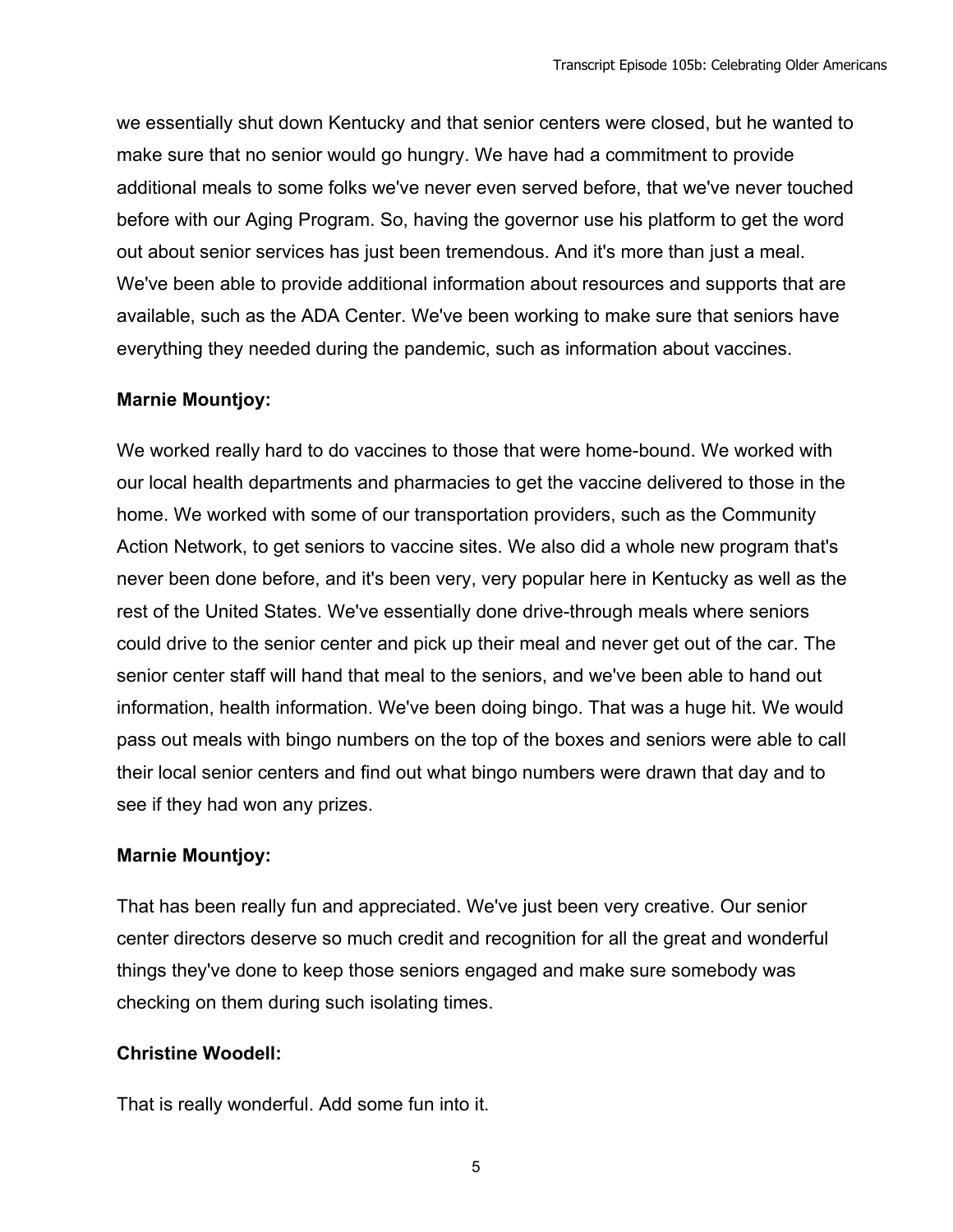we essentially shut down Kentucky and that senior centers were closed, but he wanted to make sure that no senior would go hungry. We have had a commitment to provide additional meals to some folks we've never even served before, that we've never touched before with our Aging Program. So, having the governor use his platform to get the word out about senior services has just been tremendous. And it's more than just a meal. We've been able to provide additional information about resources and supports that are available, such as the ADA Center. We've been working to make sure that seniors have everything they needed during the pandemic, such as information about vaccines.

## **Marnie Mountjoy:**

We worked really hard to do vaccines to those that were home-bound. We worked with our local health departments and pharmacies to get the vaccine delivered to those in the home. We worked with some of our transportation providers, such as the Community Action Network, to get seniors to vaccine sites. We also did a whole new program that's never been done before, and it's been very, very popular here in Kentucky as well as the rest of the United States. We've essentially done drive-through meals where seniors could drive to the senior center and pick up their meal and never get out of the car. The senior center staff will hand that meal to the seniors, and we've been able to hand out information, health information. We've been doing bingo. That was a huge hit. We would pass out meals with bingo numbers on the top of the boxes and seniors were able to call their local senior centers and find out what bingo numbers were drawn that day and to see if they had won any prizes.

# **Marnie Mountjoy:**

That has been really fun and appreciated. We've just been very creative. Our senior center directors deserve so much credit and recognition for all the great and wonderful things they've done to keep those seniors engaged and make sure somebody was checking on them during such isolating times.

#### **Christine Woodell:**

That is really wonderful. Add some fun into it.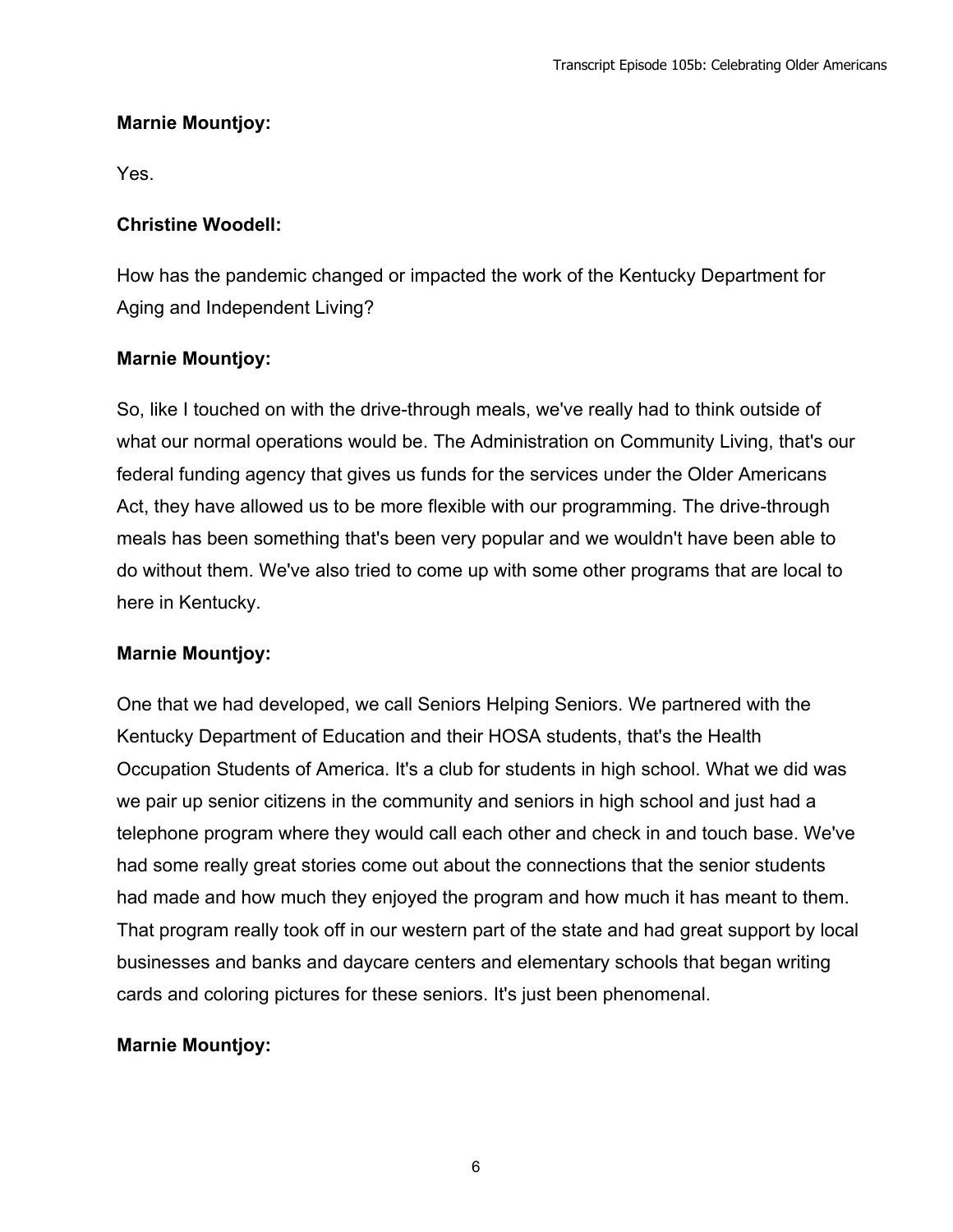## **Marnie Mountjoy:**

Yes.

#### **Christine Woodell:**

How has the pandemic changed or impacted the work of the Kentucky Department for Aging and Independent Living?

#### **Marnie Mountjoy:**

So, like I touched on with the drive-through meals, we've really had to think outside of what our normal operations would be. The Administration on Community Living, that's our federal funding agency that gives us funds for the services under the Older Americans Act, they have allowed us to be more flexible with our programming. The drive-through meals has been something that's been very popular and we wouldn't have been able to do without them. We've also tried to come up with some other programs that are local to here in Kentucky.

#### **Marnie Mountjoy:**

One that we had developed, we call Seniors Helping Seniors. We partnered with the Kentucky Department of Education and their HOSA students, that's the Health Occupation Students of America. It's a club for students in high school. What we did was we pair up senior citizens in the community and seniors in high school and just had a telephone program where they would call each other and check in and touch base. We've had some really great stories come out about the connections that the senior students had made and how much they enjoyed the program and how much it has meant to them. That program really took off in our western part of the state and had great support by local businesses and banks and daycare centers and elementary schools that began writing cards and coloring pictures for these seniors. It's just been phenomenal.

#### **Marnie Mountjoy:**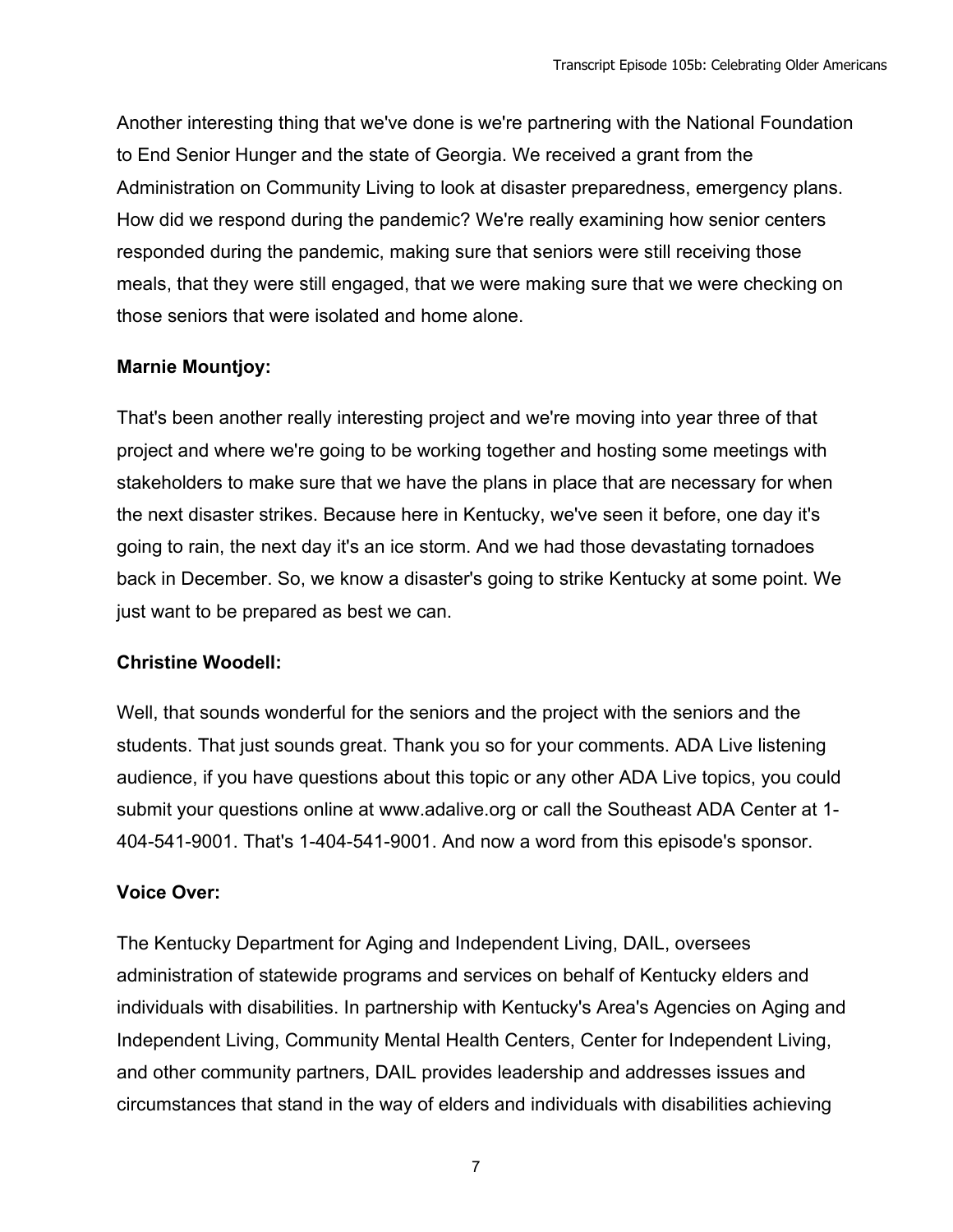Another interesting thing that we've done is we're partnering with the National Foundation to End Senior Hunger and the state of Georgia. We received a grant from the Administration on Community Living to look at disaster preparedness, emergency plans. How did we respond during the pandemic? We're really examining how senior centers responded during the pandemic, making sure that seniors were still receiving those meals, that they were still engaged, that we were making sure that we were checking on those seniors that were isolated and home alone.

# **Marnie Mountjoy:**

That's been another really interesting project and we're moving into year three of that project and where we're going to be working together and hosting some meetings with stakeholders to make sure that we have the plans in place that are necessary for when the next disaster strikes. Because here in Kentucky, we've seen it before, one day it's going to rain, the next day it's an ice storm. And we had those devastating tornadoes back in December. So, we know a disaster's going to strike Kentucky at some point. We just want to be prepared as best we can.

# **Christine Woodell:**

Well, that sounds wonderful for the seniors and the project with the seniors and the students. That just sounds great. Thank you so for your comments. ADA Live listening audience, if you have questions about this topic or any other ADA Live topics, you could submit your questions online at www.adalive.org or call the Southeast ADA Center at 1- 404-541-9001. That's 1-404-541-9001. And now a word from this episode's sponsor.

# **Voice Over:**

The Kentucky Department for Aging and Independent Living, DAIL, oversees administration of statewide programs and services on behalf of Kentucky elders and individuals with disabilities. In partnership with Kentucky's Area's Agencies on Aging and Independent Living, Community Mental Health Centers, Center for Independent Living, and other community partners, DAIL provides leadership and addresses issues and circumstances that stand in the way of elders and individuals with disabilities achieving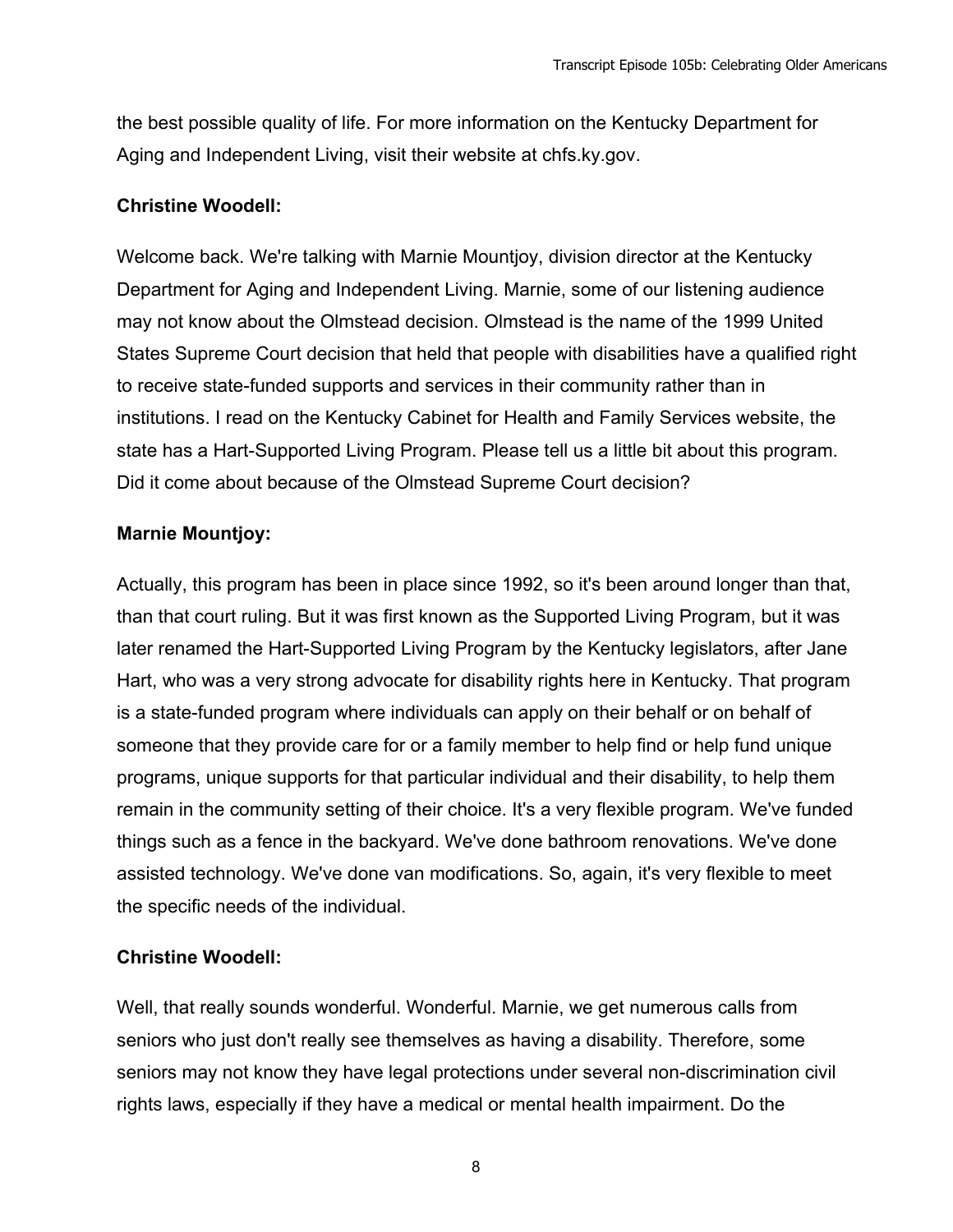the best possible quality of life. For more information on the Kentucky Department for Aging and Independent Living, visit their website at chfs.ky.gov.

### **Christine Woodell:**

Welcome back. We're talking with Marnie Mountjoy, division director at the Kentucky Department for Aging and Independent Living. Marnie, some of our listening audience may not know about the Olmstead decision. Olmstead is the name of the 1999 United States Supreme Court decision that held that people with disabilities have a qualified right to receive state-funded supports and services in their community rather than in institutions. I read on the Kentucky Cabinet for Health and Family Services website, the state has a Hart-Supported Living Program. Please tell us a little bit about this program. Did it come about because of the Olmstead Supreme Court decision?

## **Marnie Mountjoy:**

Actually, this program has been in place since 1992, so it's been around longer than that, than that court ruling. But it was first known as the Supported Living Program, but it was later renamed the Hart-Supported Living Program by the Kentucky legislators, after Jane Hart, who was a very strong advocate for disability rights here in Kentucky. That program is a state-funded program where individuals can apply on their behalf or on behalf of someone that they provide care for or a family member to help find or help fund unique programs, unique supports for that particular individual and their disability, to help them remain in the community setting of their choice. It's a very flexible program. We've funded things such as a fence in the backyard. We've done bathroom renovations. We've done assisted technology. We've done van modifications. So, again, it's very flexible to meet the specific needs of the individual.

# **Christine Woodell:**

Well, that really sounds wonderful. Wonderful. Marnie, we get numerous calls from seniors who just don't really see themselves as having a disability. Therefore, some seniors may not know they have legal protections under several non-discrimination civil rights laws, especially if they have a medical or mental health impairment. Do the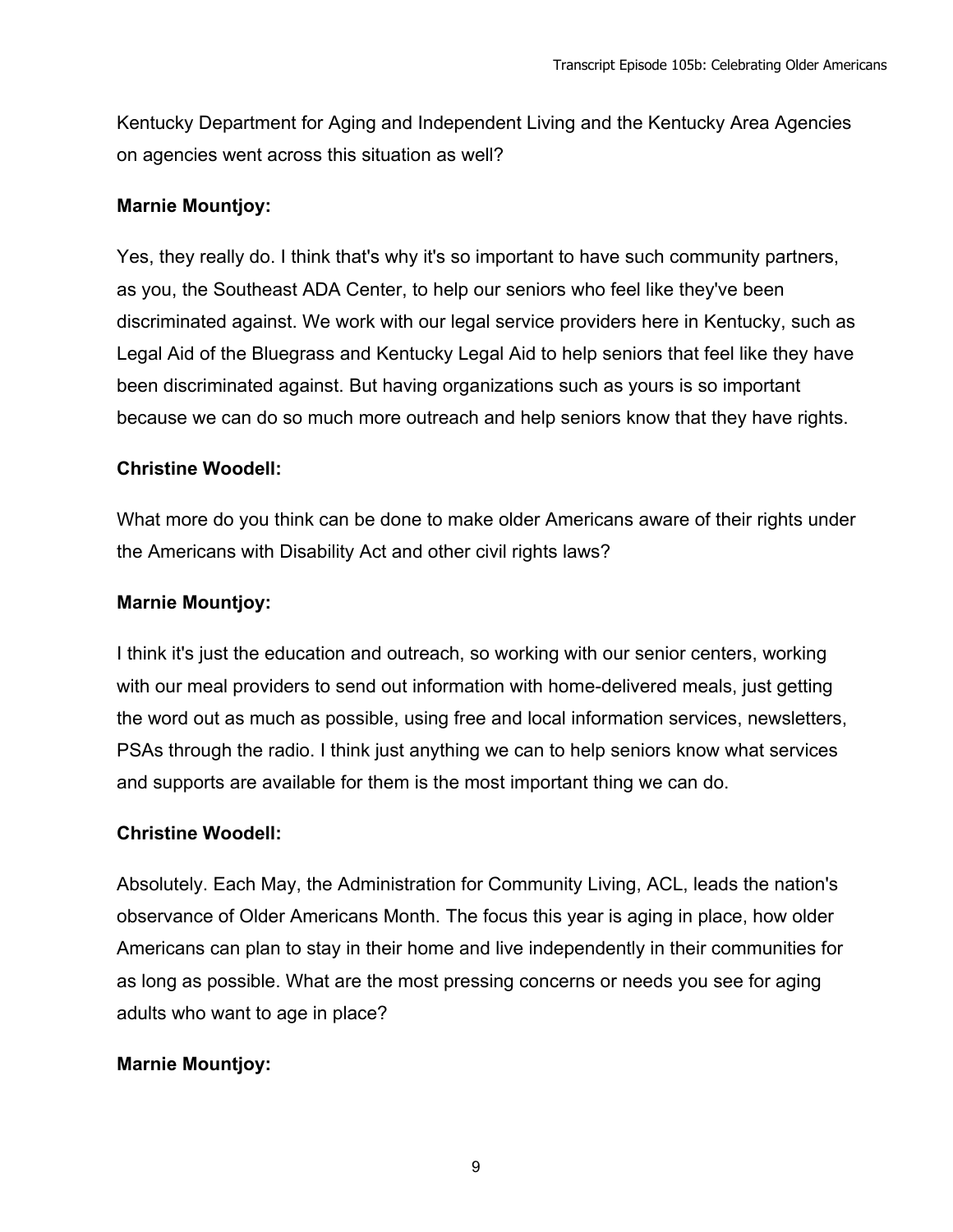Kentucky Department for Aging and Independent Living and the Kentucky Area Agencies on agencies went across this situation as well?

#### **Marnie Mountjoy:**

Yes, they really do. I think that's why it's so important to have such community partners, as you, the Southeast ADA Center, to help our seniors who feel like they've been discriminated against. We work with our legal service providers here in Kentucky, such as Legal Aid of the Bluegrass and Kentucky Legal Aid to help seniors that feel like they have been discriminated against. But having organizations such as yours is so important because we can do so much more outreach and help seniors know that they have rights.

#### **Christine Woodell:**

What more do you think can be done to make older Americans aware of their rights under the Americans with Disability Act and other civil rights laws?

#### **Marnie Mountjoy:**

I think it's just the education and outreach, so working with our senior centers, working with our meal providers to send out information with home-delivered meals, just getting the word out as much as possible, using free and local information services, newsletters, PSAs through the radio. I think just anything we can to help seniors know what services and supports are available for them is the most important thing we can do.

#### **Christine Woodell:**

Absolutely. Each May, the Administration for Community Living, ACL, leads the nation's observance of Older Americans Month. The focus this year is aging in place, how older Americans can plan to stay in their home and live independently in their communities for as long as possible. What are the most pressing concerns or needs you see for aging adults who want to age in place?

#### **Marnie Mountjoy:**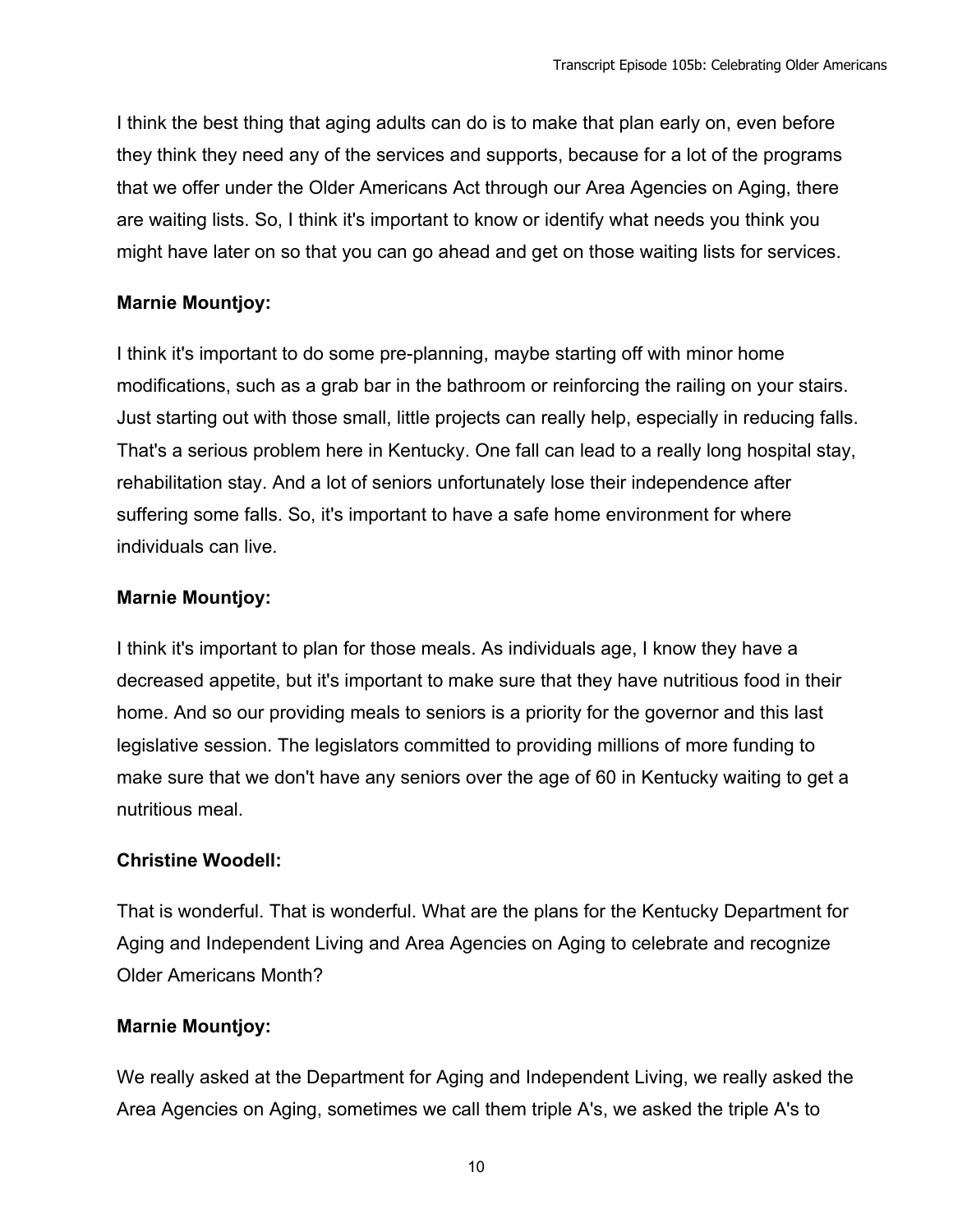I think the best thing that aging adults can do is to make that plan early on, even before they think they need any of the services and supports, because for a lot of the programs that we offer under the Older Americans Act through our Area Agencies on Aging, there are waiting lists. So, I think it's important to know or identify what needs you think you might have later on so that you can go ahead and get on those waiting lists for services.

# **Marnie Mountjoy:**

I think it's important to do some pre-planning, maybe starting off with minor home modifications, such as a grab bar in the bathroom or reinforcing the railing on your stairs. Just starting out with those small, little projects can really help, especially in reducing falls. That's a serious problem here in Kentucky. One fall can lead to a really long hospital stay, rehabilitation stay. And a lot of seniors unfortunately lose their independence after suffering some falls. So, it's important to have a safe home environment for where individuals can live.

# **Marnie Mountjoy:**

I think it's important to plan for those meals. As individuals age, I know they have a decreased appetite, but it's important to make sure that they have nutritious food in their home. And so our providing meals to seniors is a priority for the governor and this last legislative session. The legislators committed to providing millions of more funding to make sure that we don't have any seniors over the age of 60 in Kentucky waiting to get a nutritious meal.

# **Christine Woodell:**

That is wonderful. That is wonderful. What are the plans for the Kentucky Department for Aging and Independent Living and Area Agencies on Aging to celebrate and recognize Older Americans Month?

# **Marnie Mountjoy:**

We really asked at the Department for Aging and Independent Living, we really asked the Area Agencies on Aging, sometimes we call them triple A's, we asked the triple A's to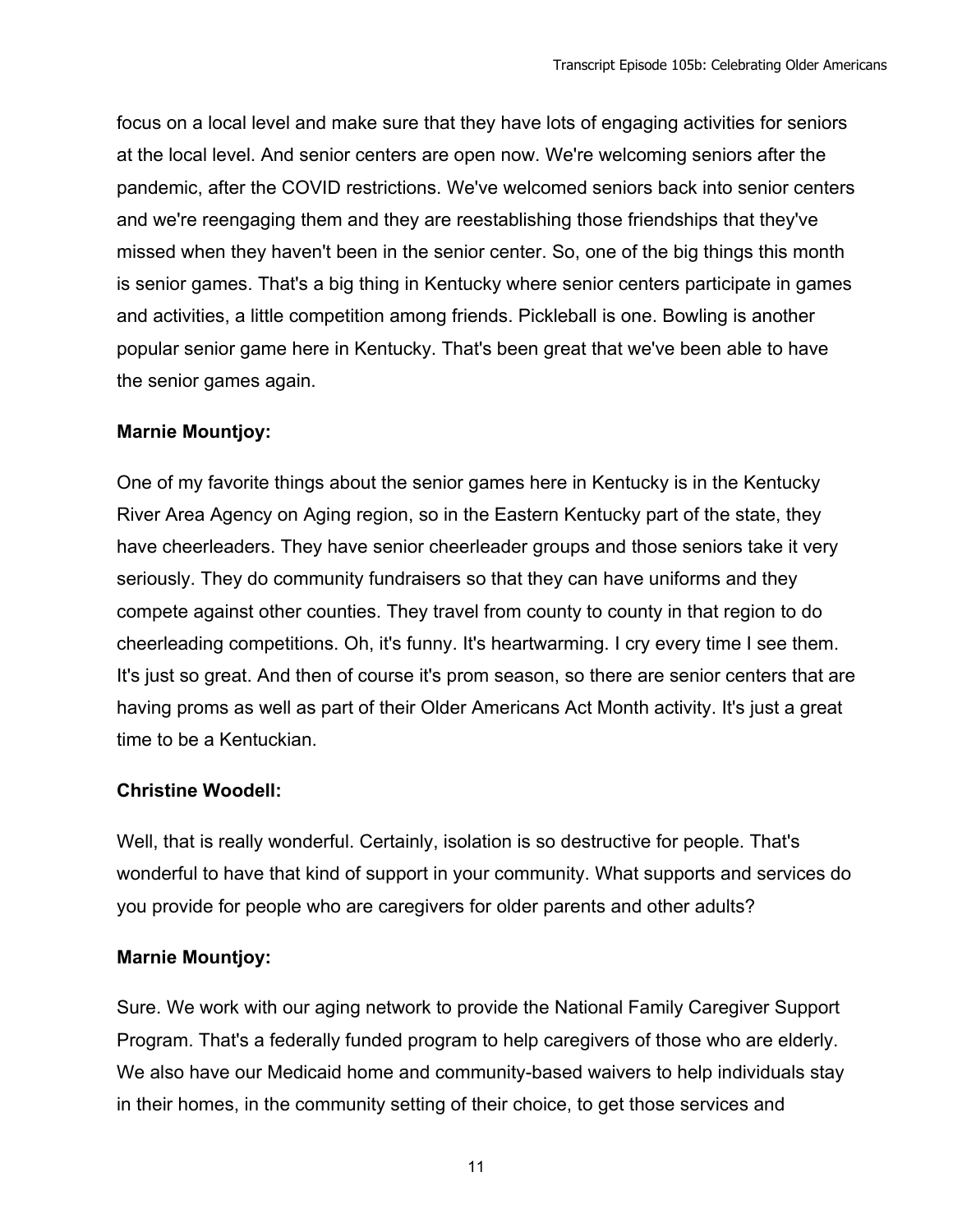focus on a local level and make sure that they have lots of engaging activities for seniors at the local level. And senior centers are open now. We're welcoming seniors after the pandemic, after the COVID restrictions. We've welcomed seniors back into senior centers and we're reengaging them and they are reestablishing those friendships that they've missed when they haven't been in the senior center. So, one of the big things this month is senior games. That's a big thing in Kentucky where senior centers participate in games and activities, a little competition among friends. Pickleball is one. Bowling is another popular senior game here in Kentucky. That's been great that we've been able to have the senior games again.

## **Marnie Mountjoy:**

One of my favorite things about the senior games here in Kentucky is in the Kentucky River Area Agency on Aging region, so in the Eastern Kentucky part of the state, they have cheerleaders. They have senior cheerleader groups and those seniors take it very seriously. They do community fundraisers so that they can have uniforms and they compete against other counties. They travel from county to county in that region to do cheerleading competitions. Oh, it's funny. It's heartwarming. I cry every time I see them. It's just so great. And then of course it's prom season, so there are senior centers that are having proms as well as part of their Older Americans Act Month activity. It's just a great time to be a Kentuckian.

# **Christine Woodell:**

Well, that is really wonderful. Certainly, isolation is so destructive for people. That's wonderful to have that kind of support in your community. What supports and services do you provide for people who are caregivers for older parents and other adults?

# **Marnie Mountjoy:**

Sure. We work with our aging network to provide the National Family Caregiver Support Program. That's a federally funded program to help caregivers of those who are elderly. We also have our Medicaid home and community-based waivers to help individuals stay in their homes, in the community setting of their choice, to get those services and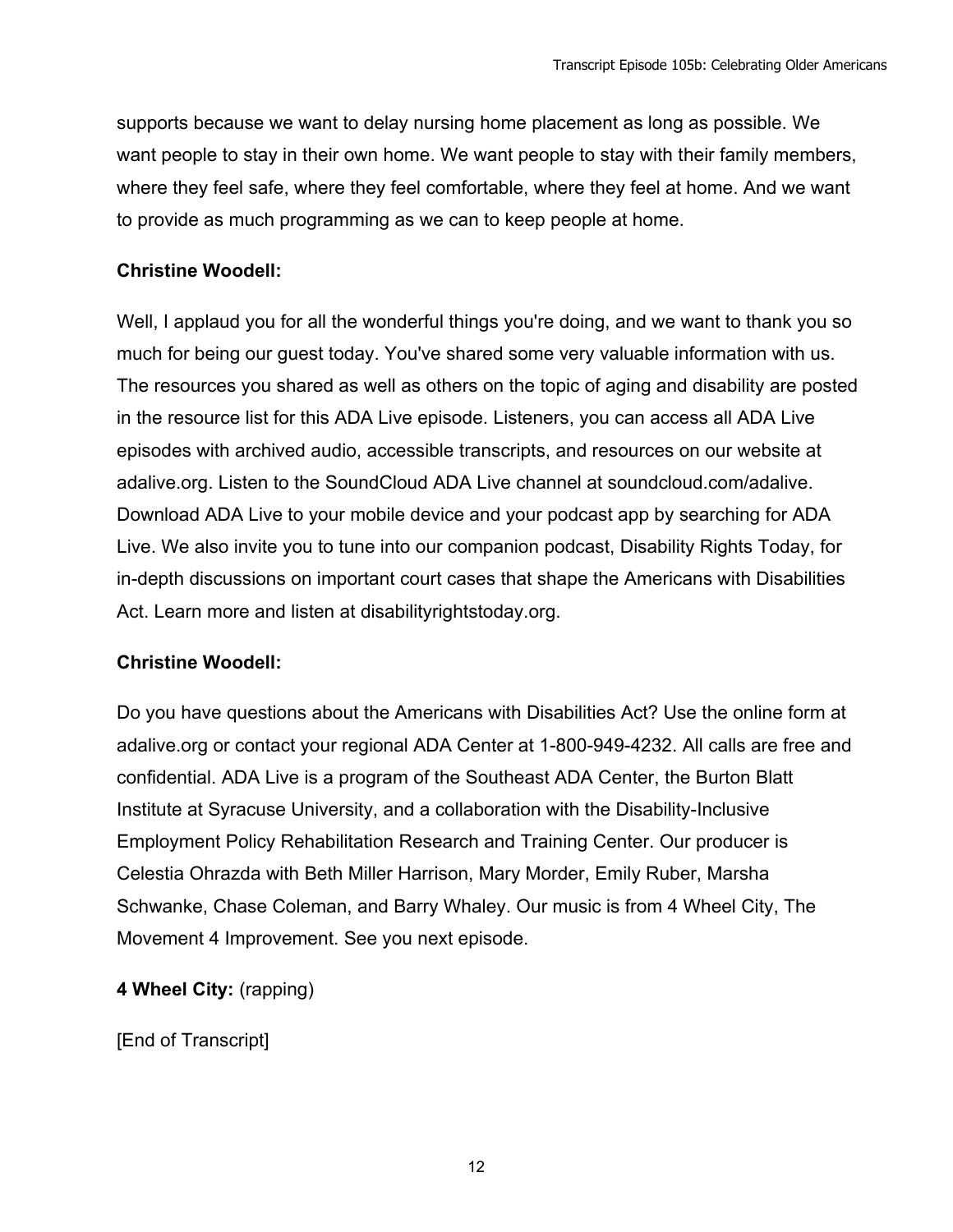supports because we want to delay nursing home placement as long as possible. We want people to stay in their own home. We want people to stay with their family members, where they feel safe, where they feel comfortable, where they feel at home. And we want to provide as much programming as we can to keep people at home.

#### **Christine Woodell:**

Well, I applaud you for all the wonderful things you're doing, and we want to thank you so much for being our guest today. You've shared some very valuable information with us. The resources you shared as well as others on the topic of aging and disability are posted in the resource list for this ADA Live episode. Listeners, you can access all ADA Live episodes with archived audio, accessible transcripts, and resources on our website at adalive.org. Listen to the SoundCloud ADA Live channel at soundcloud.com/adalive. Download ADA Live to your mobile device and your podcast app by searching for ADA Live. We also invite you to tune into our companion podcast, Disability Rights Today, for in-depth discussions on important court cases that shape the Americans with Disabilities Act. Learn more and listen at disabilityrightstoday.org.

# **Christine Woodell:**

Do you have questions about the Americans with Disabilities Act? Use the online form at adalive.org or contact your regional ADA Center at 1-800-949-4232. All calls are free and confidential. ADA Live is a program of the Southeast ADA Center, the Burton Blatt Institute at Syracuse University, and a collaboration with the Disability-Inclusive Employment Policy Rehabilitation Research and Training Center. Our producer is Celestia Ohrazda with Beth Miller Harrison, Mary Morder, Emily Ruber, Marsha Schwanke, Chase Coleman, and Barry Whaley. Our music is from 4 Wheel City, The Movement 4 Improvement. See you next episode.

**4 Wheel City:** (rapping)

[End of Transcript]